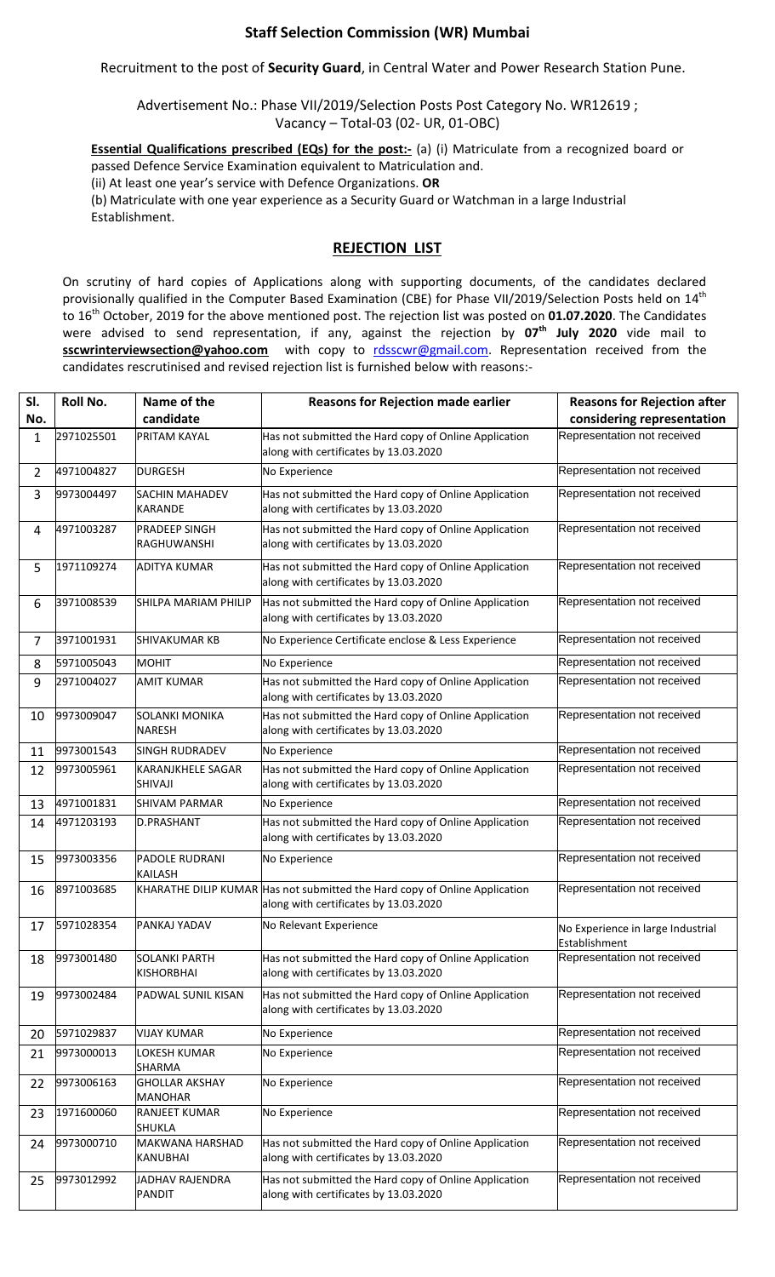## **Staff Selection Commission (WR) Mumbai**

Recruitment to the post of **Security Guard**, in Central Water and Power Research Station Pune.

Advertisement No.: Phase VII/2019/Selection Posts Post Category No. WR12619 ; Vacancy – Total-03 (02- UR, 01-OBC)

**Essential Qualifications prescribed (EQs) for the post:-** (a) (i) Matriculate from a recognized board or passed Defence Service Examination equivalent to Matriculation and.

(ii) At least one year's service with Defence Organizations. **OR**

(b) Matriculate with one year experience as a Security Guard or Watchman in a large Industrial Establishment.

## **REJECTION LIST**

On scrutiny of hard copies of Applications along with supporting documents, of the candidates declared provisionally qualified in the Computer Based Examination (CBE) for Phase VII/2019/Selection Posts held on 14<sup>th</sup> to 16th October, 2019 for the above mentioned post. The rejection list was posted on **01.07.2020**. The Candidates were advised to send representation, if any, against the rejection by **07 th July 2020** vide mail to **sscwrinterviewsection@yahoo.com** with copy to [rdsscwr@gmail.com.](mailto:rdsscwr@gmail.com) Representation received from the candidates rescrutinised and revised rejection list is furnished below with reasons:-

| SI.            | Roll No.   | Name of the                                | <b>Reasons for Rejection made earlier</b>                                                                           | <b>Reasons for Rejection after</b>                 |
|----------------|------------|--------------------------------------------|---------------------------------------------------------------------------------------------------------------------|----------------------------------------------------|
| No.            |            | candidate                                  |                                                                                                                     | considering representation                         |
| 1              | 2971025501 | <b>PRITAM KAYAL</b>                        | Has not submitted the Hard copy of Online Application<br>along with certificates by 13.03.2020                      | Representation not received                        |
| $\overline{2}$ | 4971004827 | <b>DURGESH</b>                             | No Experience                                                                                                       | Representation not received                        |
| 3              | 9973004497 | <b>SACHIN MAHADEV</b><br><b>KARANDE</b>    | Has not submitted the Hard copy of Online Application<br>along with certificates by 13.03.2020                      | Representation not received                        |
| 4              | 4971003287 | <b>PRADEEP SINGH</b><br><b>RAGHUWANSHI</b> | Has not submitted the Hard copy of Online Application<br>along with certificates by 13.03.2020                      | Representation not received                        |
| 5              | 1971109274 | <b>ADITYA KUMAR</b>                        | Has not submitted the Hard copy of Online Application<br>along with certificates by 13.03.2020                      | Representation not received                        |
| 6              | 3971008539 | SHILPA MARIAM PHILIP                       | Has not submitted the Hard copy of Online Application<br>along with certificates by 13.03.2020                      | Representation not received                        |
| $\overline{7}$ | 3971001931 | <b>SHIVAKUMAR KB</b>                       | No Experience Certificate enclose & Less Experience                                                                 | Representation not received                        |
| 8              | 5971005043 | <b>MOHIT</b>                               | No Experience                                                                                                       | Representation not received                        |
| 9              | 2971004027 | <b>AMIT KUMAR</b>                          | Has not submitted the Hard copy of Online Application<br>along with certificates by 13.03.2020                      | Representation not received                        |
| 10             | 9973009047 | <b>SOLANKI MONIKA</b><br><b>NARESH</b>     | Has not submitted the Hard copy of Online Application<br>along with certificates by 13.03.2020                      | Representation not received                        |
| 11             | 9973001543 | <b>SINGH RUDRADEV</b>                      | No Experience                                                                                                       | Representation not received                        |
| 12             | 9973005961 | <b>KARANJKHELE SAGAR</b><br>SHIVAJI        | Has not submitted the Hard copy of Online Application<br>along with certificates by 13.03.2020                      | Representation not received                        |
| 13             | 4971001831 | SHIVAM PARMAR                              | No Experience                                                                                                       | Representation not received                        |
| 14             | 4971203193 | <b>D.PRASHANT</b>                          | Has not submitted the Hard copy of Online Application<br>along with certificates by 13.03.2020                      | Representation not received                        |
| 15             | 9973003356 | PADOLE RUDRANI<br><b>KAILASH</b>           | No Experience                                                                                                       | Representation not received                        |
| 16             | 8971003685 |                                            | KHARATHE DILIP KUMAR Has not submitted the Hard copy of Online Application<br>along with certificates by 13.03.2020 | Representation not received                        |
| 17             | 5971028354 | PANKAJ YADAV                               | No Relevant Experience                                                                                              | No Experience in large Industrial<br>Establishment |
| 18             | 9973001480 | <b>SOLANKI PARTH</b><br><b>KISHORBHAI</b>  | Has not submitted the Hard copy of Online Application<br>along with certificates by 13.03.2020                      | Representation not received                        |
| 19             | 9973002484 | PADWAL SUNIL KISAN                         | Has not submitted the Hard copy of Online Application<br>along with certificates by 13.03.2020                      | Representation not received                        |
| 20             | 5971029837 | <b>VIJAY KUMAR</b>                         | No Experience                                                                                                       | Representation not received                        |
| 21             | 9973000013 | LOKESH KUMAR<br>SHARMA                     | No Experience                                                                                                       | Representation not received                        |
| 22             | 9973006163 | <b>GHOLLAR AKSHAY</b><br><b>MANOHAR</b>    | No Experience                                                                                                       | Representation not received                        |
| 23             | 1971600060 | <b>RANJEET KUMAR</b><br>SHUKLA             | No Experience                                                                                                       | Representation not received                        |
| 24             | 9973000710 | <b>MAKWANA HARSHAD</b><br>KANUBHAI         | Has not submitted the Hard copy of Online Application<br>along with certificates by 13.03.2020                      | Representation not received                        |
| 25             | 9973012992 | JADHAV RAJENDRA<br>PANDIT                  | Has not submitted the Hard copy of Online Application<br>along with certificates by 13.03.2020                      | Representation not received                        |